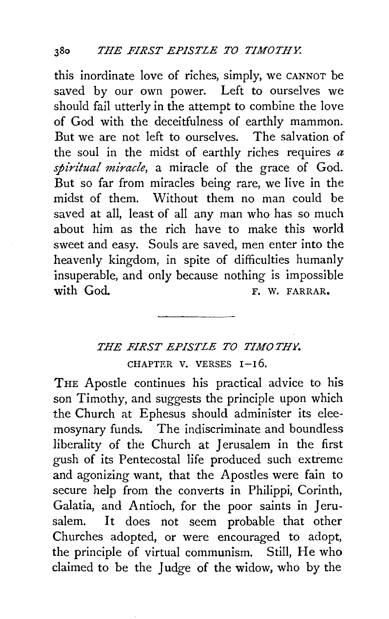this inordinate love of riches, simply, we CANNOT be saved by our own power. Left to ourselves we should fail utterly in the attempt to combine the love of God with the deceitfulness of earthly mammon. But we are not left to ourselves. The salvation of the soul in the midst of earthly riches requires *a spiritual miracle,* a miracle of the grace of God. But so far from miracles being rare, we live in the midst of them. Without them no man could be saved at all, least of all any man who has so much about him as the rich have to make this world sweet and easy. Souls are saved, men enter into the heavenly kingdom, in spite of difficulties humanly insuperable, and only because nothing is impossible<br>with God. F. W. FARRAR.

## *THE FIRST EPISTLE TO TIMOTHY.*  CHAPTER V. VERSES  $I-I6$ .

THE Apostle continues his practical advice to his son Timothy, and suggests the principle upon which the Church at Ephesus should administer its eleemosynary funds. The indiscriminate and boundless liberality of the Church at Jerusalem in the first gush of its Pentecostal life produced such extreme and agonizing want, that the Apostles were fain to secure help from the converts in Philippi, Corinth, Galatia, and Antioch, for the poor saints in Jerusalem. It does not seem probable that other Churches adopted, or were encouraged to adopt, the principle of virtual communism. Still, He who claimed to be the Judge of the widow, who by the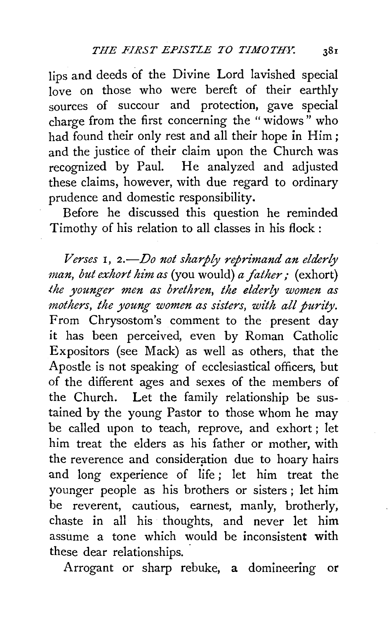lips and deeds of the Divine Lord lavished special love on those who were bereft of their earthly sources of succour and protection, gave special charge from the first concerning the " widows " who had found their only rest and all their hope in Him; and the justice of their claim upon the Church was recognized by Paul. He analyzed and adjusted these claims, however, with due regard to ordinary prudence and domestic responsibility.

Before he discussed this question he reminded Timothy of his relation to all classes in his flock:

*Verses* 1, *2.-Do not sharply reprimand an elderly man, but exhort him as (you would) a father;* (exhort) *the younger men as brethren, the elderly women as mothers, the young women as sisters, with all purity.*  From Chrysostom's comment to the present day it has been perceived, even by Roman Catholic Expositors (see Mack) as well as others, that the Apostle is not speaking of ecclesiastical officers, but of the different ages and sexes of the members of the Church. Let the family relationship be sustained by the young Pastor to those whom he may be called upon to teach, reprove, and exhort ; let him treat the elders as his father or mother, with the reverence and consideration due to hoary hairs and long experience of life; let him treat the younger people as his brothers or sisters ; let him be reverent, cautious, earnest, manly, brotherly, chaste in all his thoughts, and never let him assume a tone which would be inconsistent with these dear relationships.

Arrogant or sharp rebuke, a domineering or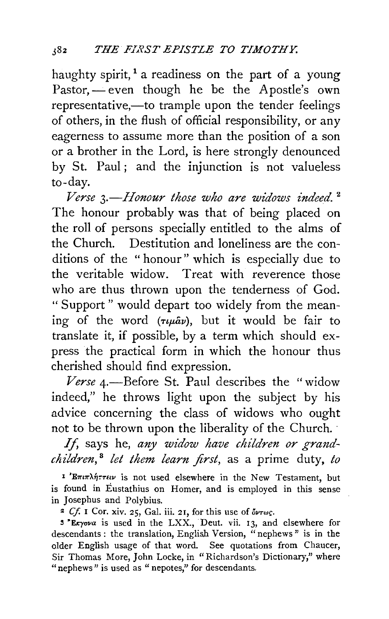haughty spirit,<sup>1</sup> a readiness on the part of a young Pastor, - even though he be the Apostle's own representative,—to trample upon the tender feelings of others, in the flush of official responsibility, or any eagerness to assume more than the position of a son or a brother in the Lord, is here strongly denounced by St. Paul; and the injunction is not valueless to-day.

*Verse 3.-Honour those who are widows indeed.* <sup>2</sup> The honour probably was that of being placed on the roll of persons specially entitled to the alms of the Church. Destitution and loneliness are the conditions of the "honour" which is especially due to the veritable widow. Treat with reverence those who are thus thrown upon the tenderness of God. " Support " would depart too widely from the meaning of the word  $(\tau \mu \hat{a} \nu)$ , but it would be fair to translate it, if possible, by a term which should express the practical form in which the honour thus cherished should find expression.

Verse 4.-Before St. Paul describes the "widow indeed," he throws light upon the subject by his advice concerning the class of widows who ought not to be thrown upon the liberality of the Church. ·

If, says he, any widow have children or grand*children,* <sup>8</sup>*let them learn first,* as a prime duty, *to* 

<sup>1</sup>'E $\pi$ *in* $\lambda$ *n* $\tau$ *fiv* is not used elsewhere in the New Testament, but is found in Eustathius on Homer, and is employed in this sense in Josephus and Polybius.

*z Cf.* 1 Cor. xiv. 25, Gal. iii. 21, for this use of *ovrwr.* 

3 "Ekyova is used in the LXX., Deut. vii. 13, and elsewhere for descendants : the translation, English Version, "nephews " is in the older English usage of that word. See quotations from Chaucer, Sir Thomas More, John Locke, in "Richardson's Dictionary," where "nephews" is used as "nepotes," for descendants.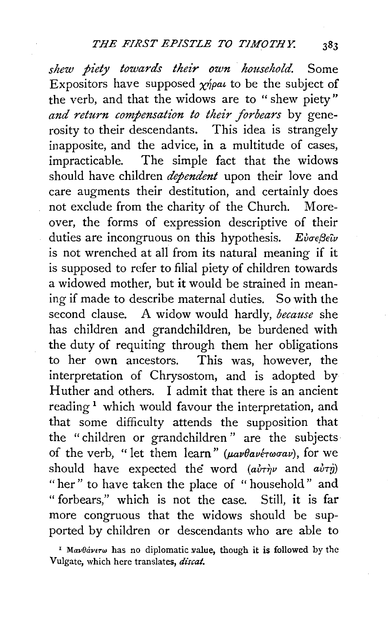*shew piety towards their own household.* Some Expositors have supposed  $\gamma$ *n*/pat to be the subject of the verb, and that the widows are to " shew piety" *and return compensation to their forbears* by generosity to their descendants. This idea is strangely inapposite, and the advice, in a multitude of cases, impracticable. The simple fact that the widows should have children *dependent* upon their love and care augments their destitution, and certainly does not exclude from the charity of the Church. Moreover, the forms of expression descriptive of their duties are incongruous on this hypothesis. *Ei* $\sigma \epsilon$ *B* $\epsilon \hat{\nu}$ is not wrenched at all from its natural meaning if it is supposed to refer to filial piety of children towards a widowed mother, but it would be strained in meaning if made to describe maternal duties. So with the second clause. A widow would hardly, *because* she has children and grandchildren, be burdened with the duty of requiting through them her obligations to her own ancestors. This was, however, the interpretation of Chrysostom, and is adopted by Huther and others. I admit that there is an ancient reading<sup>1</sup> which would favour the interpretation, and that some difficulty attends the supposition that the "children or grandchildren" are the subjects of the verb. " let them learn" ( $\mu a\nu\theta a\nu\epsilon\tau\omega\sigma a\nu$ ), for we should have expected the word  $(a\dot{v}\tau\dot{\eta}\nu)$  and  $a\dot{v}\tau\dot{\eta}$ ) "her" to have taken the place of "household" and " forbears," which is not the case. Still, it is far more congruous that the widows should be supported by children or descendants who are able to

<sup>&</sup>lt;sup>1</sup> Mav $\theta$ áverw has no diplomatic value, though it is followed by the Vulgate, which here translates, *discat.*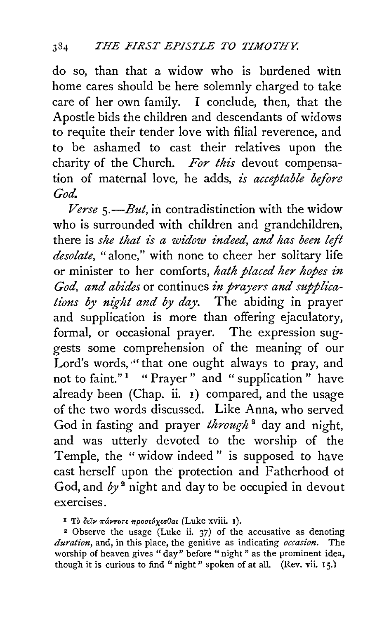do so, than that a widow who is burdened witn home cares should be here solemnly charged to take care of her own family. I conclude, then, that the Apostle bids the children and descendants of widows to requite their tender love with filial reverence, and to be ashamed to cast their relatives upon the charity of the Church. *For this* devout compensation of maternal love, he adds, *is acceptable before God.* 

*Verse s.-But,* in contradistinction with the widow who is surrounded with children and grandchildren, there is *she that is a widow indeed, and has been left desolate,* "alone," with none to cheer her solitary life or minister to her comforts, *hath placed her hopes in God, and abides* or continues *in prayers and supplications by night and by day.* The abiding in prayer and supplication is more than offering ejaculatory, formal, or occasional prayer. The expression suggests some comprehension of the meaning of our Lord's words, "that one ought always to pray, and not to faint."<sup>1</sup> " Prayer" and " supplication " have already been (Chap. ii. 1) compared, and the usage of the two words discussed. Like Anna, who served God in fasting and prayer *through*<sup>2</sup> day and night, and was utterly devoted to the worship of the Temple, the "widow indeed" is supposed to have cast herself upon the protection and Fatherhood ot God, and  $by<sup>2</sup>$  night and day to be occupied in devout exercises.

<sup>1</sup> Το δείν πάντοτε προσεύχεσθαι (Luke xviii. 1).

 $2$  Observe the usage (Luke ii. 37) of the accusative as denoting *duration,* and, in this place, the genitive as indicating *occasion.* The worship of heaven gives "day" before "night" as the prominent idea, though it is curious to find " night" spoken of at all. (Rev. vii.  $15$ .)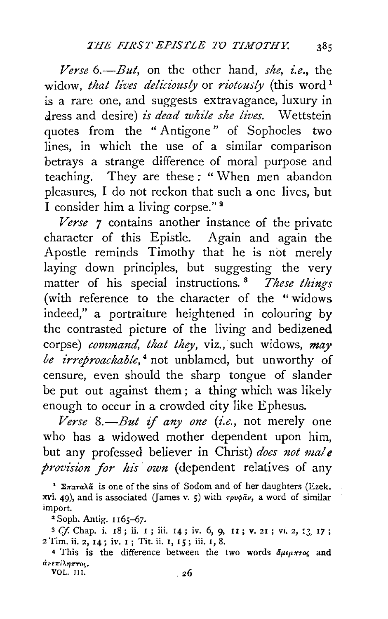$Verse$  6.—*But*, on the other hand, *she, i.e.*, the widow, *that lives deliciously* or *riotously* (this word<sup>1</sup> is a rare one, and suggests extravagance, luxury in dress and desire) *is dead while she lives*. Wettstein quotes from the " Antigone" of Sophocles two lines, in which the use of a similar comparison betrays a strange difference of moral purpose and teaching. They are these : " When men abandon pleasures, I do not reckon that such a one lives, but I consider him a living corpse." a

*Verse 7* contains another instance of the private character of this Epistle. Again and again the Apostle reminds Timothy that he is not merely laying down principles, but suggesting the very matter of his special instructions. 8 *These things*  (with reference to the character of the "widows indeed," a portraiture heightened in colouring by the contrasted picture of the living and bedizened corpse) *command, that they, viz.*, such widows, *may be irreproachable*,<sup>4</sup> not unblamed, but unworthy of censure, even should the sharp tongue of slander be put out against them ; a thing which was likely enough to occur in a crowded city like E phesus.

 $$ who has a widowed mother dependent upon him, but any professed believer in Christ) *does not male provision for his own* (dependent relatives of any

<sup>1</sup>  $\Sigma \pi a \pi a \lambda \tilde{a}$  is one of the sins of Sodom and of her daughters (Ezek. xvi. 49), and is associated (James v. 5) with  $\tau \rho \nu \phi \tilde{a} \nu$ , a word of similar import.

2 Soph. Antig. I I65-67.

<sup>3</sup> Cf. Chap. i. 18; ii. 1; iii. 14; iv. 6, 9, 11; v. 21; vi. 2, 13, 17; 2 Tim. ii. 2, I4; iv. I; Tit. ii. I, I5; iii. I, 8.

4 This is the difference between the two words  $\tilde{a}_{\mu\epsilon\mu\pi\tau\sigma\zeta}$  and άνεπίληπτος.

VOL. III.  $26$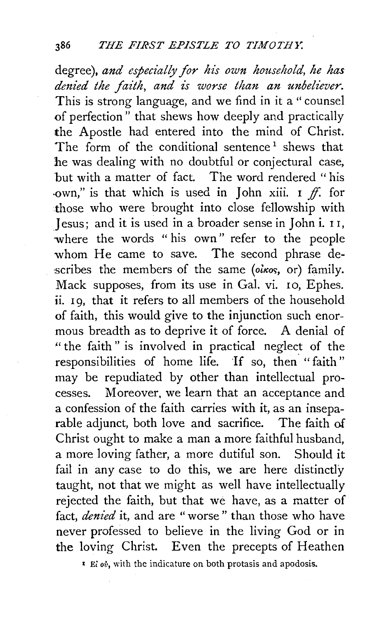degree), *and especially for his own household, he has denied the faith, and is worse than an unbeliever.*  This is strong language, and we find in it a "counsel of perfection" that shews how deeply and practically the Apostle had entered into the mind of Christ. The form of the conditional sentence<sup>1</sup> shews that he was dealing with no doubtful or conjectural case, but with a matter of fact. The word rendered " his own." is that which is used in John xiii. I  $ff$ . for those who were brought into close fellowship with .Jesus; and it is used in a broader sense in John i. I I, where the words "his own" refer to the people whom He came to save. The second phrase describes the members of the same (olkos, or) family. Mack supposes, from its use in Gal. vi. 10, Ephes. ii. 19, that it refers to all members of the household of faith, this would give to the injunction such enormous breadth as to deprive it of force. A denial of '' the faith " is involved in practical neglect of the responsibilities of home life. If so, then "faith" may be repudiated by other than intellectual processes. Moreover, we learn that an acceptance and a confession of the faith carries with it, as an inseparable adjunct, both love and sacrifice. The faith of Christ ought to make a man a more faithful husband, a more loving father, a more dutiful son. Should it fail in any case to do this, we are here distinctly taught, not that we might as well have intellectually rejected the faith, but that we have, as a matter of fact, *denied* it, and are "worse" than those who have never professed to believe in the living God or in the loving Christ. Even the precepts of Heathen

r Ei *ou,* with the indicature on both protasis and apodosis.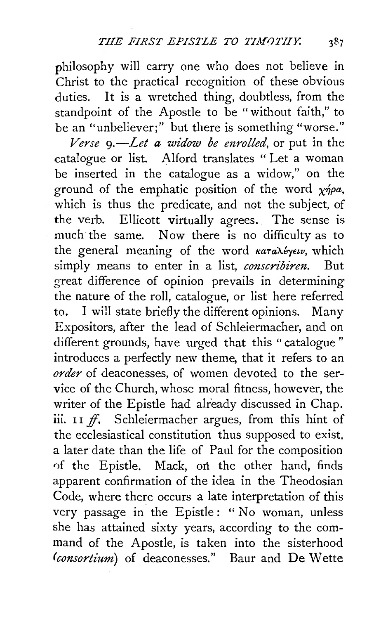philosophy will carry one who does not believe in Christ to the practical recognition of these obvious duties. It is a wretched thing, doubtless, from the standpoint of the Apostle to be "without faith," to be an "unbeliever;" but there is something "worse."

*Verse 9.-Let a widow be enrolled,* or put in the catalogue or list. Alford translates " Let a woman be inserted in the catalogue as a widow," on the ground of the emphatic position of the word *xnpa,*  which is thus the predicate, and not the subject, of<br>the verb. Ellicott virtually agrees. The sense is Ellicott virtually agrees. The sense is much the same. Now there is no difficulty as to the general meaning of the word *καταλέγειν*, which simply means to enter in a list, *conscribiren.* But great difference of opinion prevails in determining the nature of the roll, catalogue, or list here referred to. I will state briefly the different opinions. Many Expositors, after the lead of Schleiermacher, and on different grounds, have urged that this "catalogue" introduces a perfectly new theme, that it refers to an *order* of deaconesses, of women devoted to the service of the Church, whose moral fitness, however, the writer of the Epistle had already discussed in Chap. iii.  $II \nightharpoondown f$ . Schleiermacher argues, from this hint of the ecclesiastical constitution thus supposed to exist, a later date than the life of Paul for the composition of the Epistle. Mack, on the other hand, finds apparent confirmation of the idea in the Theodosian Code, where there occurs a late interpretation of this very passage in the Epistle : " No woman, unless she has attained sixty years, according to the command of the Apostle, is taken into the sisterhood *(consortium)* of deaconesses." Baur and De Wette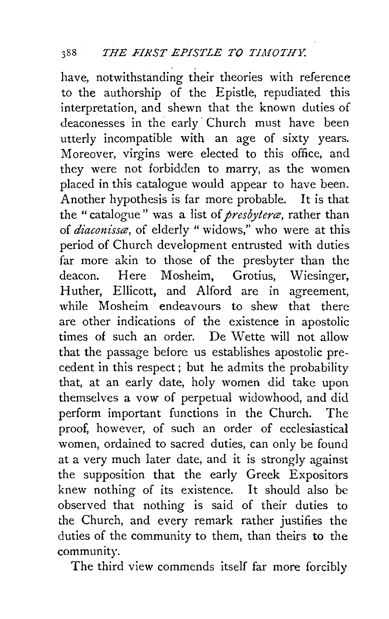have, notwithstanding their theories with reference to the authorship of the Epistle, repudiated this interpretation, and shewn that the known duties of deaconesses in the early· Church must have been utterly incompatible with an age of sixty years. Moreover, virgins were elected to this office, and they were not forbidden to marry, as the women placed in this catalogue would appear to have been. Another hypothesis is far more probable. It is that the "catalogue" was a list of *presbytera*, rather than of *diaconisse*, of elderly " widows," who were at this period of Church development entrusted with duties far more akin to those of the presbyter than the deacon. Here Mosheim, Grotius, Wiesinger, Huther, Ellicott, and Alford are in agreement, while Mosheim endeavours to shew that there are other indications of the existence in apostolic times of such an order. De Wette will not allow that the passage before us establishes apostolic precedent in this respect; but he admits the probability that, at an early date, holy women did take upon themselves a vow of perpetual widowhood, and did perform important functions in the Church. The proof, however, of such an order of ecclesiastical women, ordained to sacred duties, can only be found at a very much later date, and it is strongly against the supposition that the early Greek Expositors knew nothing of its existence. It should also be observed that nothing is said of their duties to the Church, and every remark rather justifies the duties of the community to them, than theirs to the community.

The third view commends itself far more forcibly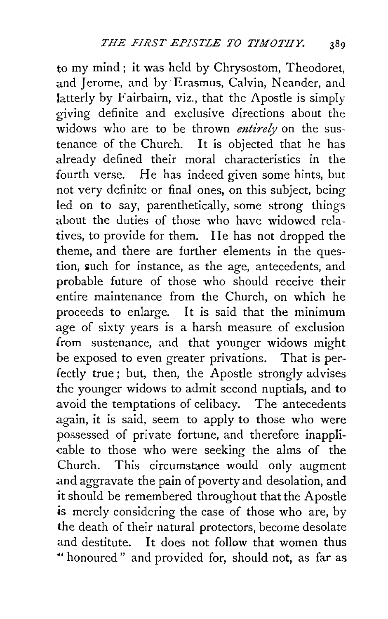to my mind ; it was held by Chrysostom, Theodoret, and Jerome, and by Erasmus, Calvin, Neander, and latterly by Fairbairn, viz., that the Apostle is simply giving definite and exclusive directions about the widows who are to be thrown *entirely* on the sustenance of the Church. It is objected that he has already defined their moral characteristics in the fourth verse. He has indeed given some hints, but not very definite or final ones, on this subject, being led on to say, parenthetically, some strong things about the duties of those who have widowed relatives, to provide for them. He has not dropped the theme, and there are further elements in the question, such for instance, as the age, antecedents, and probable future of those who should receive their entire maintenance from the Church, on which he proceeds to enlarge. It is said that the minimum  $\overline{a}$  age of sixty years is a harsh measure of exclusion from sustenance, and that younger widows might be exposed to even greater privations. That is perfectly true; but, then, the Apostle strongly advises the younger widows to admit second nuptials, and to avoid the temptations of celibacy. The antecedents again, it is said, seem to apply to those who were possessed of private fortune, and therefore inappli cable to those who were seeking the alms of the Church. This circumstance would only augment and aggravate the pain of poverty and desolation, and it should be remembered throughout that the Apostle is merely considering the case of those who are, by the death of their natural protectors, become desolate and destitute. It does not follow that women thus ~· honoured " and provided for, should not, as far as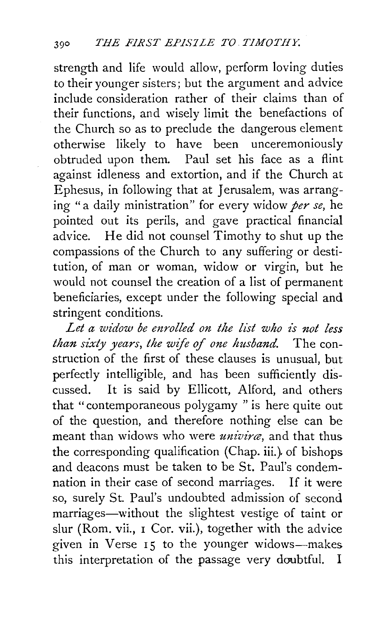strength and life would allow, perform loving duties to their younger sisters; but the argument and advice include consideration rather of their claims than of their functions, and wisely limit the benefactions of the Church so as to preclude the dangerous element otherwise likely to have been unceremoniously obtruded upon them. Paul set his face as a flint against idleness and extortion, and if the Church at E phesus, in following that at Jerusalem, was arranging "a daily ministration" for every widow *per se,* he pointed out its perils, and gave practical financial advice. He did not counsel Timothy to shut up the compassions of the Church to any suffering or destitution, of man or woman, widow or virgin, but he would not counsel the creation of a list of permanent beneficiaries, except under the following special and stringent conditions.

*Let a widow be enrolled on the list who is not less than sixty years, the wife of one husband.* The construction of the first of these clauses is unusual, but perfectly intelligible, and has been sufficiently discussed. It is said by Ellicott, Alford, and others that "contemporaneous polygamy "is here quite out of the question, and therefore nothing else can be meant than widows who were *univirce,* and that thus the corresponding qualification (Chap. iii.). of bishops and deacons must be taken to be St. Paul's condemnation in their case of second marriages. If it were so, surely St. Paul's undoubted admission of second marriages-without the slightest vestige of taint or slur (Rom. vii., I Cor. vii.), together with the advice given in Verse 15 to the younger widows-makes this interpretation of the passage very doubtful. I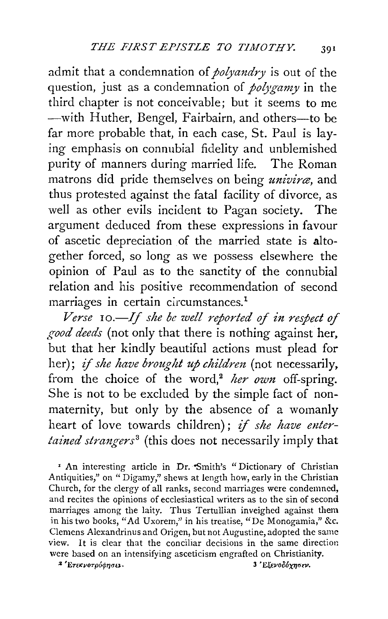admit that a condemnation of *polyandry* is out of the question, just as a condemnation of *polygamy* in the third chapter is not conceivable; but it seems to me -with Huther, Bengel, Fairbairn, and others-to be far more probable that, in each case, St. Paul is laying emphasis on connubial fidelity and unblemished purity of manners during married life. The Roman matrons did pride themselves on being *univirce,* and thus protested against the fatal facility of divorce, as well as other evils incident to Pagan society. The argument deduced from these expressions in favour of ascetic depreciation of the married state is altogether forced, so long as we possess elsewhere the opinion of Paul as to the sanctity of the connubial relation and his positive recommendation of second marriages in certain circumstances.<sup>1</sup>

*Verse* 10.—If she be well reported of in respect of *good deeds* (not only that there is nothing against her, but that her kindly beautiful actions must plead for her); *if she have brought up children* (not necessarily, from the choice of the word,<sup>2</sup> her own off-spring. She is not to be excluded by the simple fact of nonmaternity, but only by the absence of a womanly heart of love towards children); if she have enter*tained strangers*<sup>3</sup> (this does not necessarily imply that

' An interesting article in Dr. "Smith's " Dictionary of Christian Antiquities," on "Digamy," shews at length how, early in the Christian Church, for the clergy of all ranks, second marriages were condemned, and recites the opinions of ecclesiastical writers as to the sin of second marriages among the laity. Thus Tertullian inveighed against them in his two books, "Ad Uxorem," in his treatise, "De Monogamia," &c. Clemens Alexandrinus and Origen, but not Augustine, adopted the same view. It is clear that the conciliar decisions in the same direction were based on an intensifying asceticism engrafted on Christianity.<br>
<sup>2</sup>'Ετεκνοτρόφησει.<br>
3 <sup>3</sup>'Εξενοδόχησεν.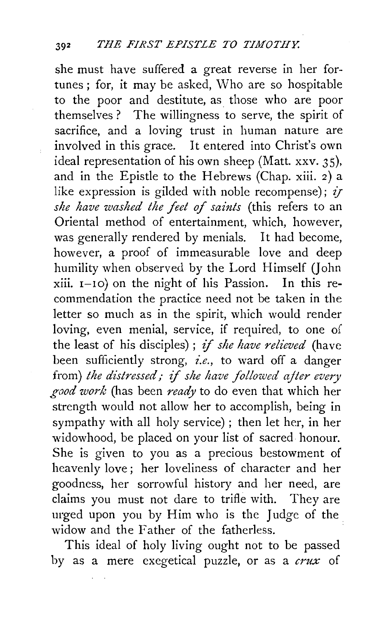she must have suffered a great reverse in her fortunes ; for, it may be asked, Who are so hospitable to the poor and destitute, as those who are poor themselves ? The willingness to serve, the spirit of sacrifice, and a loving trust in human nature are involved in this grace. It entered into Christ's own ideal representation of his own sheep (Matt. xxv. 35), and in the Epistle to the Hebrews (Chap. xiii. 2) a like expression is gilded with noble recompense);  $i\tau$ *she have washed the feet of saints* (this refers to an Oriental method of entertainment, which, however, was generally rendered by menials. It had become, however, a proof of immeasurable love and deep humility when observed by the Lord Himself (John  $xiii. I-10$  on the night of his Passion. In this recommendation the practice need not be taken in the letter so much as in the spirit, which would render loving, even menial, service, if required, to one o{ the least of his disciples) ; if *she have relieved* (have been sufficiently strong, *i.e.,* to ward off a danger from) *the distressed;* if *she have followed ajter every good work* (has been *ready* to do even that which her strength would not allow her to accomplish, being in sympathy with all holy service) ; then let her, in her widowhood, be placed on your list of sacred honour. She is given to you as a precious bestowment of heavenly love; her loveliness of character and her goodness, her sorrowful history and her need, are claims you must not dare to trifle with. They are urged upon you by Him who is the Judge of the widow and the Father of the fatherless.

This ideal of holy living ought not to be passed by as a mere exegetical puzzle, or as a *crux* of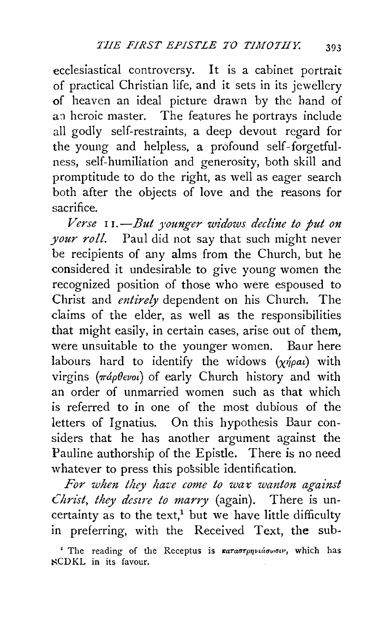ecclesiastical controversy. It is a cabinet portrait of practical Christian life, and it sets in its jewellery of heaven an ideal picture drawn by the hand of an heroic master. The features he portrays include all godly self-restraints, a deep devout regard for the young and helpless, a profound self-forgetfulness, self-humiliation and generosity, both skill and promptitude to do the right, as well as eager search both after the objects of love and the reasons for sacrifice.

*Verse* 1 **1.-***But younger widows decline to put on your roll.* Paul did not say that such might never be recipients of any alms from the Church, but he considered it undesirable to give young women the recognized position of those who were espoused to Christ and *entirely* dependent on his Church. The claims of the elder, as well as the responsibilities that might easily, in certain cases, arise out of them, were unsuitable to the younger women. Baur here labours hard to identify the widows  $(\chi\eta\rho a\iota)$  with virgins ( $\pi \dot{a} \rho \theta \epsilon \nu \omega$ ) of early Church history and with an order of unmarried women such as that which is referred to in one of the most dubious of the letters of Ignatius. On this hypothesis Baur considers that he has another argument against the Pauline authorship of the Epistle. There is no need whatever to press this possible identification.

*For when they have come to wax wanton against Christ, they desire to marry* (again). There is uncertainty as to the text,<sup>1</sup> but we have little difficulty in preferring, with the Received Text, **the** sub-

<sup>&#</sup>x27; The reading of the Receptus is  $\kappa a \tau a \sigma \tau \rho \eta \nu a \sigma \omega \sigma \nu$ , which has ~CD KL in its favour.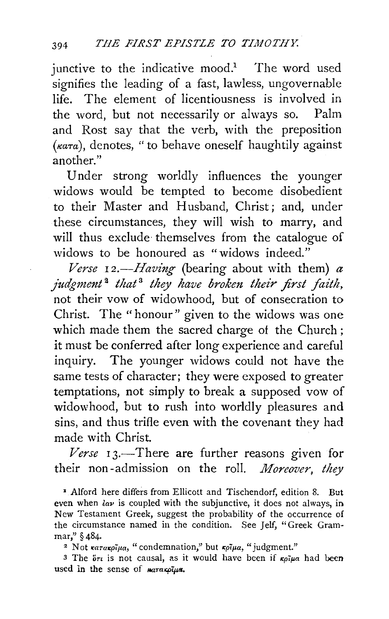junctive to the indicative mood.<sup>1</sup> The word used signifies the leading of a fast, lawless, ungovernable life. The element of licentiousness is involved in the word, but not necessarily or always so. Palm and Rost say that the verb, with the preposition  $(\kappa a\tau a)$ , denotes, "to behave oneself haughtily against another."

Under strong worldly influences the younger widows would be tempted to become disobedient to their Master and Husband, Christ; and, under these circumstances, they will wish to marry, and will thus exclude themselves from the catalogue of widows to be honoured as "widows indeed."

*Verse*  $I2$ *--Having* (bearing about with them)  $\alpha$ *judgment* <sup>2</sup>*that* <sup>3</sup>*they have broken their first faith,*  not their vow of widowhood, but of consecration to Christ. The " honour" given to the widows was one which made them the sacred charge of the Church ; it must be conferred after long experience and careful inquiry. The younger widows could not have the same tests of character; they were exposed to greater temptations, not simply to break a supposed vow of widowhood, but to rush into worldly pleasures and sins, and thus trifle even with the covenant they had made with Christ.

Verse 13.—There are further reasons given for their non-admission on the roll. *Moreover, they* 

• Alford here differs from Ellicott and Tischendorf, edition 8. But even when  $\lambda \omega$  is coupled with the subjunctive, it does not always, in New Testament Greek, suggest the probability of the occurrence of the circumstance named in the condition. See *Jelf*, "Greek Gram-mar." § 484.

<sup>2</sup> Not *karakoiµa*, "condemnation," but *koiµa*, "judgment."

3 The *ore* is not causal, as it would have been if  $\kappa_0 \tilde{\mu}$  had been used in the sense of  $_{\textit{R}q\tau\alpha\kappa\rho\tilde{i}\mu\alpha}$ .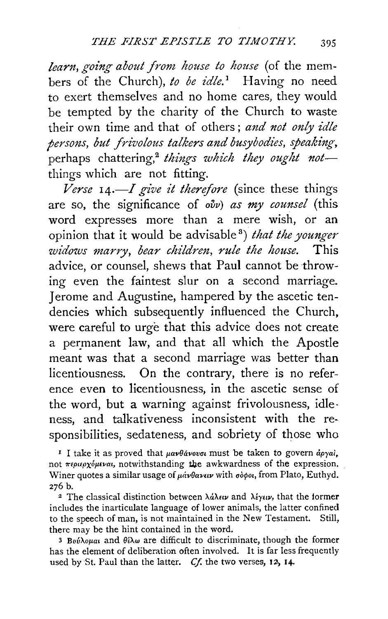*learn, going about from house to house* (of the members of the Church), to be idle.<sup>1</sup> Having no need to exert themselves and no home cares, they would be tempted by the charity of the Church to waste their own time and that of others ; *and not only idle persons, but .frivolous talkers and busybodies, speaking,*  perhaps chattering,<sup>2</sup> things which they ought notthings which are not fitting.

*Verse* 14.-I *give it therefore* (since these things are so, the significance of *ovv) as my counsel* (this word expresses more than a mere wish, or an opinion that it would be advisable 8 ) *that the younger widows marry, bear children, rule the house.* This advice, or counsel, shews that Paul cannot be throwing even the faintest slur on a second marriage. Jerome and Augustine, hampered by the ascetic tendencies which subsequently influenced the Church, were careful to urge that this advice does not create a permanent law, and that all which the Apostle meant was that a second marriage was better than licentiousness. On the contrary, there is no reference even to licentiousness, in the ascetic sense of the word, but a warning against frivolousness, idle· ness, and talkativeness inconsistent with the responsibilities, sedateness, and sobriety of those who

<sup>1</sup> I take it as proved that *μανθάνουσι* must be taken to govern άργαι, not *repupyoptval*, notwithstanding the awkwardness of the expression. Winer quotes a similar usage of μάνθανειν with σόφοι, from Plato, Euthyd. 276 b.

<sup>2</sup> The classical distinction between λάλειν and λέγειν, that the former includes the inarticulate language of lower animals, the latter confined to the speech of man, is not maintained in the New Testament. Still, there may be the hint contained in the word.

<sup>3</sup>*BovAoJLa•* and *0€;\.w* are difficult to discriminate, though the former has the element of deliberation often involved. It is far less frequently used by St. Paul than the latter. *Cf.* the two verses, 12, 14.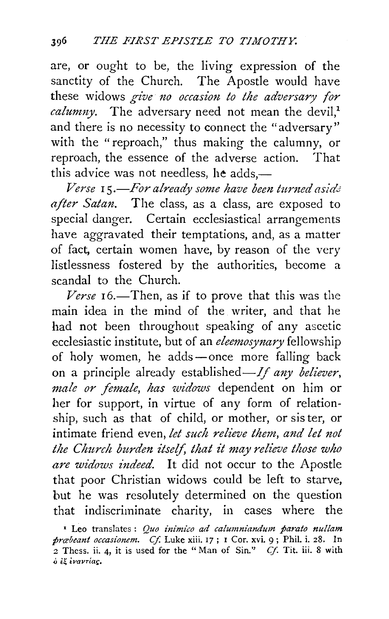are, or ought to be, the living expression of the sanctity of the Church. The Apostle would have these widows give no occasion to the adversary for *calumny*. The adversary need not mean the devil.<sup>1</sup> and there is no necessity to connect the "adversary'' with the "reproach," thus making the calumny, or reproach, the essence of the adverse action. That this advice was not needless, he adds $-$ 

*Verse* I 5 *.-For already some have been turned asid<5 after Satan.* The class, as a class, are exposed to special danger. Certain ecclesiastical arrangements have aggravated their temptations, and, as a matter of fact, certain women have, by reason of the very listlessness fostered by the authorities, become a scandal to the Church.

Verse 16.-Then, as if to prove that this was the main idea in the mind of the writer, and that he had not been throughout speaking of any ascetic ecclesiastic institute, but of an *eleemosynary* fellowship of holy women, he adds -- once more falling back on a principle already established— $If$  any believer, *male or .female, has widows* dependent on him or her for support, in virtue of any form of relationship, such as that of child, or mother, or sister, or intimate friend even, *let such relieve them, and let not the Church burden itself, that it may relieve those who are widows indeed.* It did not occur to the Apostle that poor Christian widows could be left to starve, but he was resolutely determined on the question that indiscriminate charity, in cases where the

<sup>1</sup> Leo translates : *Quo inimico ad calumniandum parato nullam præbeant occasionem. Cf. Luke xiii.* 17; I Cor. xvi. 9; Phil. i. 28. In <sup>2</sup>Thess. ii. 4, it is used for the "Man of Sin." *Cf.* Tit. iii. 8 with  $\delta$  if ivarriag.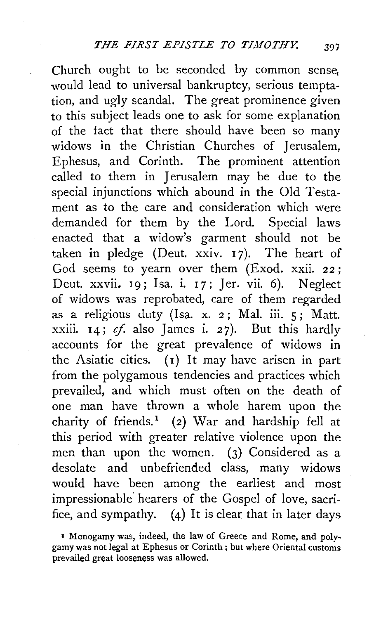Church ought to be seconded by common sense, would lead to universal bankruptcy, serious temptation, and ugly scandal. The great prominence given to this subject leads one to ask for some explanation of the fact that there should have been so many widows in the Christian Churches of Jerusalem, Ephesus, and Corinth. The prominent attention called to them in Jerusalem may be due to the special injunctions which abound in the Old Testament as to the care and consideration which were demanded for them by the Lord. Special laws enacted that a widow's garment should not be taken in pledge (Deut.  $xxiv.$  17). The heart of God seems to yearn over them (Exod. xxii. 22; Deut. xxvii. 19; Isa. i. 17; Jer. vii. 6). Neglect of widows was reprobated, care of them regarded as a religious duty (Isa. x. 2 ; Mal. iii. 5 ; Matt. xxiii.  $14$ ;  $cf.$  also James i. 27). But this hardly accounts for the great prevalence of widows in the Asiatic cities.  $(I)$  It may have arisen in part from the polygamous tendencies and practices which prevailed, and which must often on the death of one man have thrown a whole harem upon the charity of friends.<sup>1</sup> (2) War and hardship fell at this period with greater relative violence upon the men than upon the women. (3) Considered as a desolate and unbefriended class, many widows would have been among the earliest and most impressionable· hearers of the Gospel of love, sacrifice, and sympathy. (4) It is clear that in later days

<sup>•</sup> Monogamy was, indeed, the law of Greece and Rome, and polygamy was not legal at Ephesus or Corinth; but where Oriental customs prevailed great looseness was allowed.